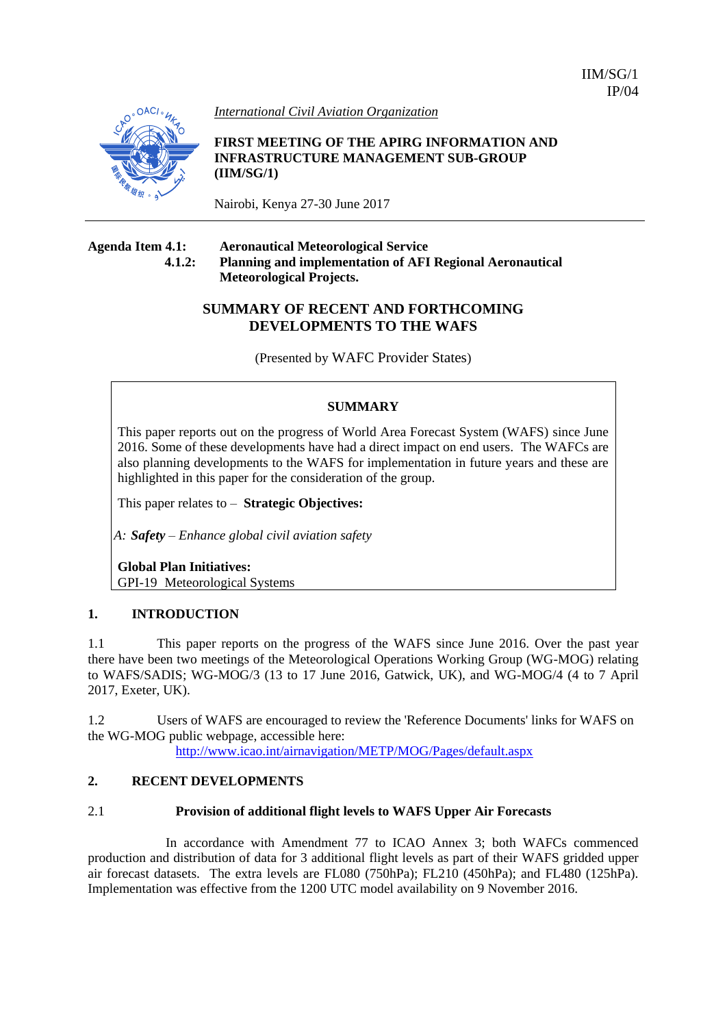IIM/SG/1 IP/04



*International Civil Aviation Organization*

**FIRST MEETING OF THE APIRG INFORMATION AND INFRASTRUCTURE MANAGEMENT SUB-GROUP (IIM/SG/1)** 

Nairobi, Kenya 27-30 June 2017

#### **Agenda Item 4.1: Aeronautical Meteorological Service 4.1.2: Planning and implementation of AFI Regional Aeronautical Meteorological Projects.**

# **SUMMARY OF RECENT AND FORTHCOMING DEVELOPMENTS TO THE WAFS**

(Presented by WAFC Provider States)

## **SUMMARY**

This paper reports out on the progress of World Area Forecast System (WAFS) since June 2016. Some of these developments have had a direct impact on end users. The WAFCs are also planning developments to the WAFS for implementation in future years and these are highlighted in this paper for the consideration of the group.

This paper relates to – **Strategic Objectives:**

*A: Safety – Enhance global civil aviation safety*

**Global Plan Initiatives:** GPI-19 Meteorological Systems

## **1. INTRODUCTION**

1.1 This paper reports on the progress of the WAFS since June 2016. Over the past year there have been two meetings of the Meteorological Operations Working Group (WG-MOG) relating to WAFS/SADIS; WG-MOG/3 (13 to 17 June 2016, Gatwick, UK), and WG-MOG/4 (4 to 7 April 2017, Exeter, UK).

1.2 Users of WAFS are encouraged to review the 'Reference Documents' links for WAFS on the WG-MOG public webpage, accessible here:

<http://www.icao.int/airnavigation/METP/MOG/Pages/default.aspx>

## **2. RECENT DEVELOPMENTS**

### 2.1 **Provision of additional flight levels to WAFS Upper Air Forecasts**

In accordance with Amendment 77 to ICAO Annex 3; both WAFCs commenced production and distribution of data for 3 additional flight levels as part of their WAFS gridded upper air forecast datasets. The extra levels are FL080 (750hPa); FL210 (450hPa); and FL480 (125hPa). Implementation was effective from the 1200 UTC model availability on 9 November 2016.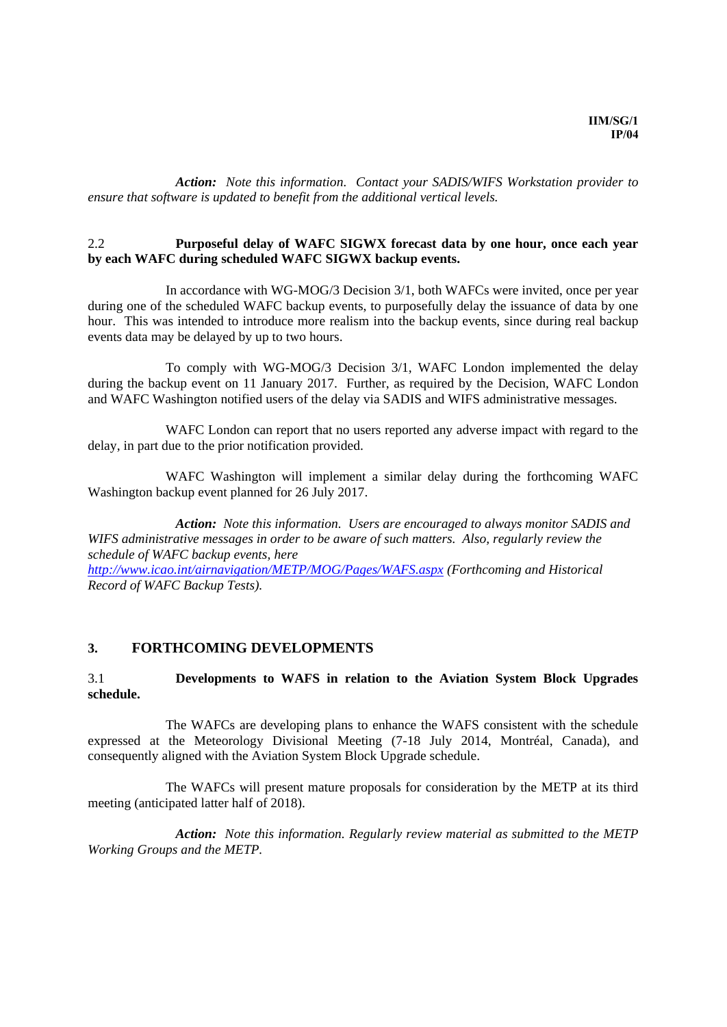*Action: Note this information. Contact your SADIS/WIFS Workstation provider to ensure that software is updated to benefit from the additional vertical levels.*

#### 2.2 **Purposeful delay of WAFC SIGWX forecast data by one hour, once each year by each WAFC during scheduled WAFC SIGWX backup events.**

In accordance with WG-MOG/3 Decision 3/1, both WAFCs were invited, once per year during one of the scheduled WAFC backup events, to purposefully delay the issuance of data by one hour. This was intended to introduce more realism into the backup events, since during real backup events data may be delayed by up to two hours.

To comply with WG-MOG/3 Decision 3/1, WAFC London implemented the delay during the backup event on 11 January 2017. Further, as required by the Decision, WAFC London and WAFC Washington notified users of the delay via SADIS and WIFS administrative messages.

WAFC London can report that no users reported any adverse impact with regard to the delay, in part due to the prior notification provided.

WAFC Washington will implement a similar delay during the forthcoming WAFC Washington backup event planned for 26 July 2017.

*Action: Note this information. Users are encouraged to always monitor SADIS and WIFS administrative messages in order to be aware of such matters. Also, regularly review the schedule of WAFC backup events, here* 

*<http://www.icao.int/airnavigation/METP/MOG/Pages/WAFS.aspx> (Forthcoming and Historical Record of WAFC Backup Tests).*

### **3. FORTHCOMING DEVELOPMENTS**

### 3.1 **Developments to WAFS in relation to the Aviation System Block Upgrades schedule.**

The WAFCs are developing plans to enhance the WAFS consistent with the schedule expressed at the Meteorology Divisional Meeting (7-18 July 2014, Montréal, Canada), and consequently aligned with the Aviation System Block Upgrade schedule.

The WAFCs will present mature proposals for consideration by the METP at its third meeting (anticipated latter half of 2018).

*Action: Note this information. Regularly review material as submitted to the METP Working Groups and the METP.*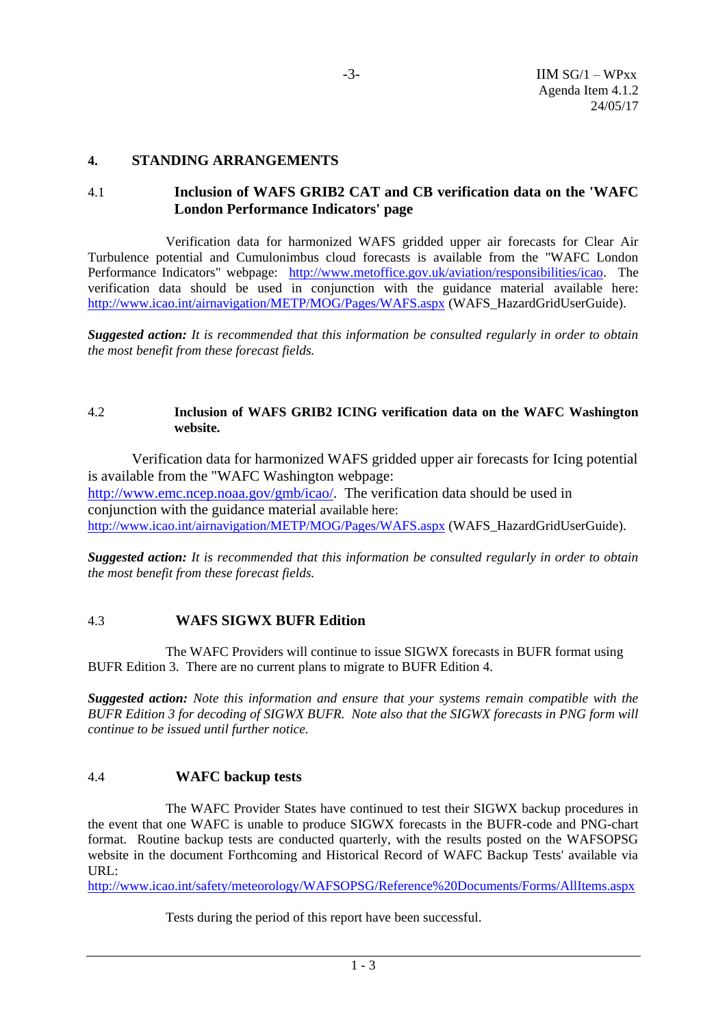### **4. STANDING ARRANGEMENTS**

## 4.1 **Inclusion of WAFS GRIB2 CAT and CB verification data on the 'WAFC London Performance Indicators' page**

Verification data for harmonized WAFS gridded upper air forecasts for Clear Air Turbulence potential and Cumulonimbus cloud forecasts is available from the "WAFC London Performance Indicators" webpage: [http://www.metoffice.gov.uk/aviation/responsibilities/icao.](http://www.metoffice.gov.uk/aviation/responsibilities/icao) The verification data should be used in conjunction with the guidance material available here: <http://www.icao.int/airnavigation/METP/MOG/Pages/WAFS.aspx> (WAFS\_HazardGridUserGuide).

*Suggested action: It is recommended that this information be consulted regularly in order to obtain the most benefit from these forecast fields.*

### 4.2 **Inclusion of WAFS GRIB2 ICING verification data on the WAFC Washington website.**

Verification data for harmonized WAFS gridded upper air forecasts for Icing potential is available from the "WAFC Washington webpage: [http://www.emc.ncep.noaa.gov/gmb/icao/.](http://www.emc.ncep.noaa.gov/gmb/icao/) The verification data should be used in conjunction with the guidance material available here: <http://www.icao.int/airnavigation/METP/MOG/Pages/WAFS.aspx> (WAFS\_HazardGridUserGuide).

*Suggested action: It is recommended that this information be consulted regularly in order to obtain the most benefit from these forecast fields.*

## 4.3 **WAFS SIGWX BUFR Edition**

The WAFC Providers will continue to issue SIGWX forecasts in BUFR format using BUFR Edition 3. There are no current plans to migrate to BUFR Edition 4.

*Suggested action: Note this information and ensure that your systems remain compatible with the BUFR Edition 3 for decoding of SIGWX BUFR. Note also that the SIGWX forecasts in PNG form will continue to be issued until further notice.*

### 4.4 **WAFC backup tests**

The WAFC Provider States have continued to test their SIGWX backup procedures in the event that one WAFC is unable to produce SIGWX forecasts in the BUFR-code and PNG-chart format. Routine backup tests are conducted quarterly, with the results posted on the WAFSOPSG website in the document Forthcoming and Historical Record of WAFC Backup Tests' available via URL:

<http://www.icao.int/safety/meteorology/WAFSOPSG/Reference%20Documents/Forms/AllItems.aspx>

Tests during the period of this report have been successful.